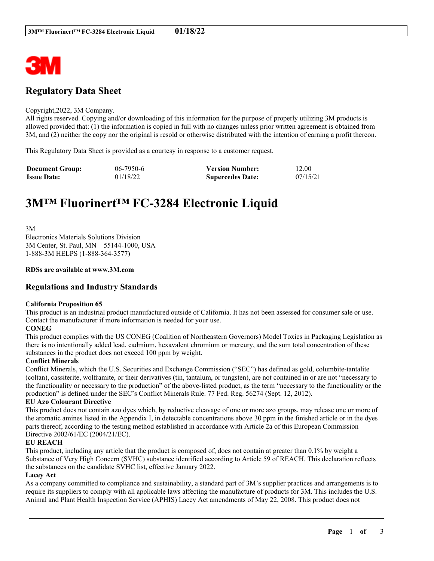

# **Regulatory Data Sheet**

#### Copyright,2022, 3M Company.

All rights reserved. Copying and/or downloading of this information for the purpose of properly utilizing 3M products is allowed provided that: (1) the information is copied in full with no changes unless prior written agreement is obtained from 3M, and (2) neither the copy nor the original is resold or otherwise distributed with the intention of earning a profit thereon.

This Regulatory Data Sheet is provided as a courtesy in response to a customer request.

| <b>Document Group:</b> | $06 - 7950 - 6$ | <b>Version Number:</b>  | 12.00    |
|------------------------|-----------------|-------------------------|----------|
| <b>Issue Date:</b>     | 01/18/22        | <b>Supercedes Date:</b> | 07/15/21 |

# **3M™ Fluorinert™ FC-3284 Electronic Liquid**

3M Electronics Materials Solutions Division 3M Center, St. Paul, MN 55144-1000, USA 1-888-3M HELPS (1-888-364-3577)

#### **RDSs are available at www.3M.com**

## **Regulations and Industry Standards**

#### **California Proposition 65**

This product is an industrial product manufactured outside of California. It has not been assessed for consumer sale or use. Contact the manufacturer if more information is needed for your use.

#### **CONEG**

This product complies with the US CONEG (Coalition of Northeastern Governors) Model Toxics in Packaging Legislation as there is no intentionally added lead, cadmium, hexavalent chromium or mercury, and the sum total concentration of these substances in the product does not exceed 100 ppm by weight.

#### **Conflict Minerals**

Conflict Minerals, which the U.S. Securities and Exchange Commission ("SEC") has defined as gold, columbite-tantalite (coltan), cassiterite, wolframite, or their derivatives (tin, tantalum, or tungsten), are not contained in or are not "necessary to the functionality or necessary to the production" of the above-listed product, as the term "necessary to the functionality or the production" is defined under the SEC's Conflict Minerals Rule. 77 Fed. Reg. 56274 (Sept. 12, 2012).

#### **EU Azo Colourant Directive**

This product does not contain azo dyes which, by reductive cleavage of one or more azo groups, may release one or more of the aromatic amines listed in the Appendix I, in detectable concentrations above 30 ppm in the finished article or in the dyes parts thereof, according to the testing method established in accordance with Article 2a of this European Commission Directive 2002/61/EC (2004/21/EC).

#### **EU REACH**

This product, including any article that the product is composed of, does not contain at greater than 0.1% by weight a Substance of Very High Concern (SVHC) substance identified according to Article 59 of REACH. This declaration reflects the substances on the candidate SVHC list, effective January 2022.

#### **Lacey Act**

As a company committed to compliance and sustainability, a standard part of 3M's supplier practices and arrangements is to require its suppliers to comply with all applicable laws affecting the manufacture of products for 3M. This includes the U.S. Animal and Plant Health Inspection Service (APHIS) Lacey Act amendments of May 22, 2008. This product does not

\_\_\_\_\_\_\_\_\_\_\_\_\_\_\_\_\_\_\_\_\_\_\_\_\_\_\_\_\_\_\_\_\_\_\_\_\_\_\_\_\_\_\_\_\_\_\_\_\_\_\_\_\_\_\_\_\_\_\_\_\_\_\_\_\_\_\_\_\_\_\_\_\_\_\_\_\_\_\_\_\_\_\_\_\_\_\_\_\_\_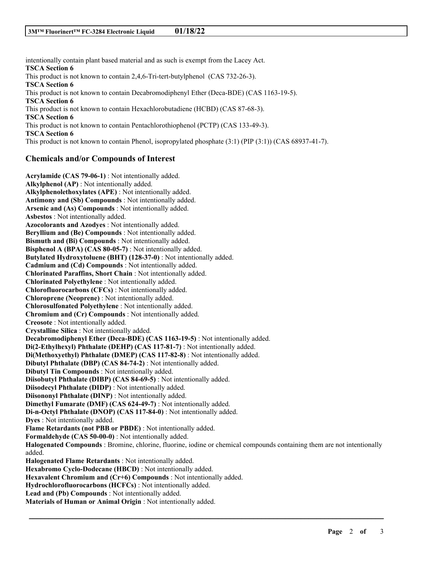intentionally contain plant based material and as such is exempt from the Lacey Act. **TSCA Section 6** This product is not known to contain 2,4,6-Tri-tert-butylphenol (CAS 732-26-3). **TSCA Section 6** This product is not known to contain Decabromodiphenyl Ether (Deca-BDE) (CAS 1163-19-5). **TSCA Section 6** This product is not known to contain Hexachlorobutadiene (HCBD) (CAS 87-68-3). **TSCA Section 6** This product is not known to contain Pentachlorothiophenol (PCTP) (CAS 133-49-3). **TSCA Section 6** This product is not known to contain Phenol, isopropylated phosphate (3:1) (PIP (3:1)) (CAS 68937-41-7).

## **Chemicals and/or Compounds of Interest**

**Acrylamide (CAS 79-06-1)** : Not intentionally added. **Alkylphenol (AP)** : Not intentionally added. **Alkylphenolethoxylates (APE)** : Not intentionally added. **Antimony and (Sb) Compounds** : Not intentionally added. **Arsenic and (As) Compounds** : Not intentionally added. **Asbestos** : Not intentionally added. **Azocolorants and Azodyes** : Not intentionally added. **Beryllium and (Be) Compounds** : Not intentionally added. **Bismuth and (Bi) Compounds** : Not intentionally added. **Bisphenol A (BPA) (CAS 80-05-7)** : Not intentionally added. **Butylated Hydroxytoluene (BHT) (128-37-0)** : Not intentionally added. **Cadmium and (Cd) Compounds** : Not intentionally added. **Chlorinated Paraffins, Short Chain** : Not intentionally added. **Chlorinated Polyethylene** : Not intentionally added. **Chlorofluorocarbons (CFCs)** : Not intentionally added. **Chloroprene (Neoprene)** : Not intentionally added. **Chlorosulfonated Polyethylene** : Not intentionally added. **Chromium and (Cr) Compounds** : Not intentionally added. **Creosote** : Not intentionally added. **Crystalline Silica** : Not intentionally added. **Decabromodiphenyl Ether (Deca-BDE) (CAS 1163-19-5)** : Not intentionally added. **Di(2-Ethylhexyl) Phthalate (DEHP) (CAS 117-81-7)** : Not intentionally added. **Di(Methoxyethyl) Phthalate (DMEP) (CAS 117-82-8)** : Not intentionally added. **Dibutyl Phthalate (DBP) (CAS 84-74-2)** : Not intentionally added. **Dibutyl Tin Compounds** : Not intentionally added. **Diisobutyl Phthalate (DIBP) (CAS 84-69-5)** : Not intentionally added. **Diisodecyl Phthalate (DIDP)** : Not intentionally added. **Diisononyl Phthalate (DINP)** : Not intentionally added. **Dimethyl Fumarate (DMF) (CAS 624-49-7)** : Not intentionally added. **Di-n-Octyl Phthalate (DNOP) (CAS 117-84-0)** : Not intentionally added. **Dyes** : Not intentionally added. **Flame Retardants (not PBB or PBDE)** : Not intentionally added. **Formaldehyde (CAS 50-00-0)** : Not intentionally added. **Halogenated Compounds** : Bromine, chlorine, fluorine, iodine or chemical compounds containing them are not intentionally added. **Halogenated Flame Retardants** : Not intentionally added. **Hexabromo Cyclo-Dodecane (HBCD)** : Not intentionally added. **Hexavalent Chromium and (Cr+6) Compounds** : Not intentionally added. **Hydrochlorofluorocarbons (HCFCs)** : Not intentionally added. **Lead and (Pb) Compounds** : Not intentionally added. **Materials of Human or Animal Origin** : Not intentionally added.

\_\_\_\_\_\_\_\_\_\_\_\_\_\_\_\_\_\_\_\_\_\_\_\_\_\_\_\_\_\_\_\_\_\_\_\_\_\_\_\_\_\_\_\_\_\_\_\_\_\_\_\_\_\_\_\_\_\_\_\_\_\_\_\_\_\_\_\_\_\_\_\_\_\_\_\_\_\_\_\_\_\_\_\_\_\_\_\_\_\_